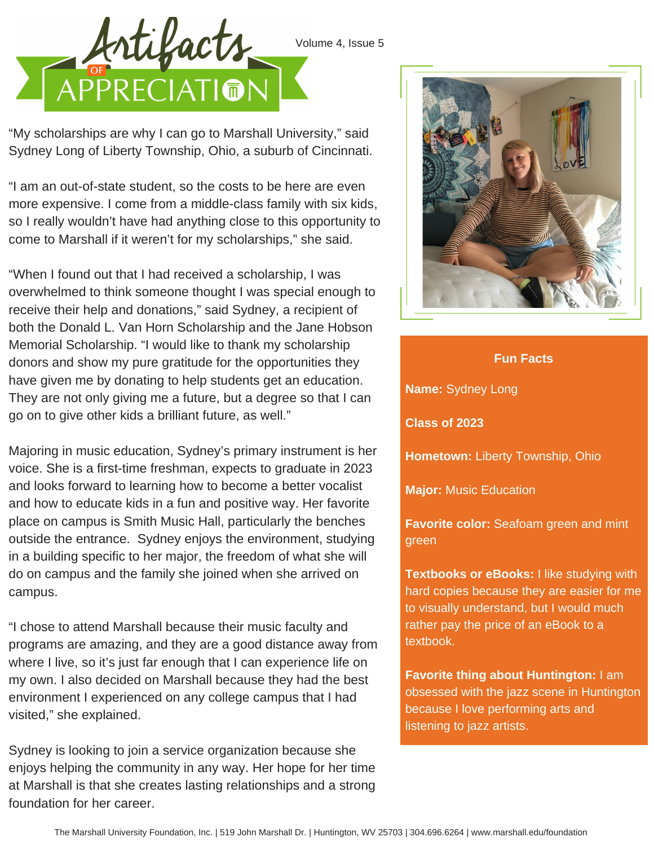

"My scholarships are why I can go to Marshall University," said Sydney Long of Liberty Township, Ohio, a suburb of Cincinnati.

"I am an out-of-state student, so the costs to be here are even more expensive. I come from a middle-class family with six kids, so I really wouldn't have had anything close to this opportunity to come to Marshall if it weren't for my scholarships," she said.

"When I found out that I had received a scholarship, I was overwhelmed to think someone thought I was special enough to receive their help and donations," said Sydney, a recipient of both the Donald L. Van Horn Scholarship and the Jane Hobson Memorial Scholarship. "I would like to thank my scholarship donors and show my pure gratitude for the opportunities they have given me by donating to help students get an education. They are not only giving me a future, but a degree so that I can go on to give other kids a brilliant future, as well."

Majoring in music education, Sydney's primary instrument is her voice. She is a first-time freshman, expects to graduate in 2023 and looks forward to learning how to become a better vocalist and how to educate kids in a fun and positive way. Her favorite place on campus is Smith Music Hall, particularly the benches outside the entrance. Sydney enjoys the environment, studying in a building specific to her major, the freedom of what she will do on campus and the family she joined when she arrived on campus.

"I chose to attend Marshall because their music faculty and programs are amazing, and they are a good distance away from where I live, so it's just far enough that I can experience life on my own. I also decided on Marshall because they had the best environment I experienced on any college campus that I had visited," she explained.

Sydney is looking to join a service organization because she enjoys helping the community in any way. Her hope for her time at Marshall is that she creates lasting relationships and a strong foundation for her career.



## **Fun Facts**

**Name:** Sydney Long

**Class of 2023**

**Hometown:** Liberty Township, Ohio

**Major:** Music Education

**Favorite color:** Seafoam green and mint green

**Textbooks or eBooks:** I like studying with hard copies because they are easier for me to visually understand, but I would much rather pay the price of an eBook to a textbook.

**Favorite thing about Huntington:** I am obsessed with the jazz scene in Huntington because I love performing arts and listening to jazz artists.